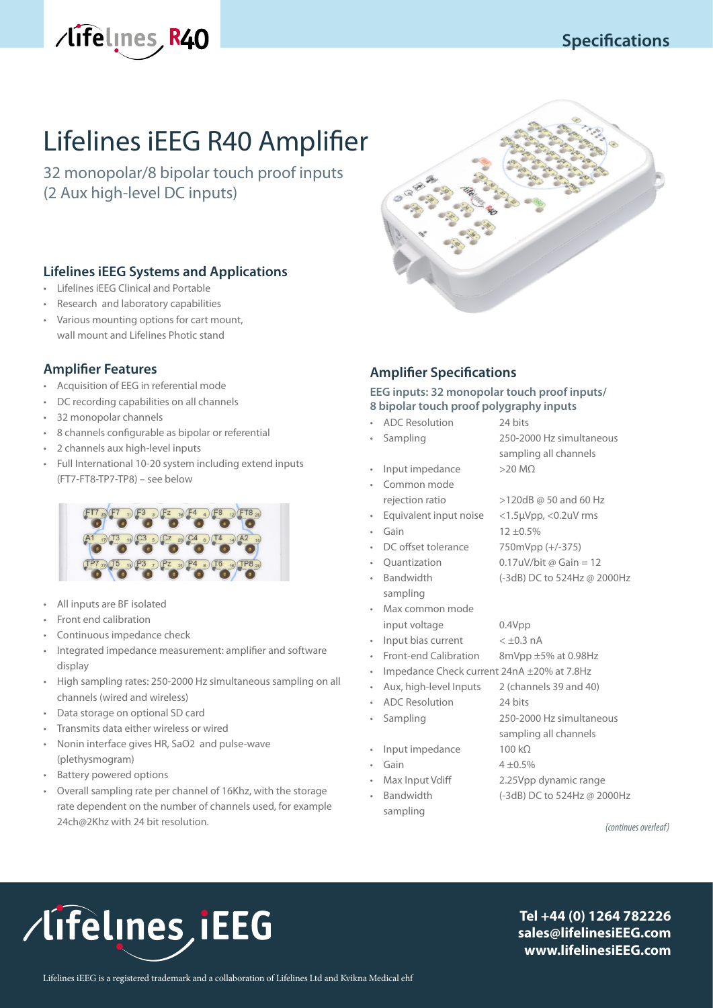



# Lifelines iEEG R40 Amplifier

32 monopolar/8 bipolar touch proof inputs (2 Aux high-level DC inputs)

# **Lifelines iEEG Systems and Applications**

- Lifelines iEEG Clinical and Portable
- Research and laboratory capabilities
- Various mounting options for cart mount, wall mount and Lifelines Photic stand

# **Amplifier Features**

- Acquisition of EEG in referential mode
- DC recording capabilities on all channels
- 32 monopolar channels
- 8 channels configurable as bipolar or referential
- 2 channels aux high-level inputs
- Full International 10-20 system including extend inputs (FT7-FT8-TP7-TP8) – see below



- All inputs are BF isolated
- Front end calibration
- Continuous impedance check
- Integrated impedance measurement: amplifier and software display
- High sampling rates: 250-2000 Hz simultaneous sampling on all channels (wired and wireless)
- Data storage on optional SD card
- Transmits data either wireless or wired
- Nonin interface gives HR, SaO2 and pulse-wave (plethysmogram)
- Battery powered options
- Overall sampling rate per channel of 16Khz, with the storage rate dependent on the number of channels used, for example 24ch@2Khz with 24 bit resolution.

# **Amplifier Specifications**

#### **EEG inputs: 32 monopolar touch proof inputs/ 8 bipolar touch proof polygraphy inputs**

|   | <b>ADC</b> Resolution                      | 24 bits                                |
|---|--------------------------------------------|----------------------------------------|
|   | Sampling                                   | 250-2000 Hz simultaneous               |
|   |                                            | sampling all channels                  |
| ۰ | Input impedance                            | $>20$ MQ                               |
| ٠ | Common mode                                |                                        |
|   | rejection ratio                            | >120dB @ 50 and 60 Hz                  |
| ۰ | Equivalent input noise                     | $<$ 1.5 $\mu$ Vpp, $<$ 0.2 $\mu$ V rms |
|   | Gain                                       | $12 + 0.5\%$                           |
| ٠ | DC offset tolerance                        | 750mVpp (+/-375)                       |
|   | Quantization                               | 0.17uV/bit @ Gain = 12                 |
| ٠ | Bandwidth                                  | (-3dB) DC to 524Hz @ 2000Hz            |
|   | sampling                                   |                                        |
|   | Max common mode                            |                                        |
|   | input voltage                              | 0.4Vpp                                 |
|   | Input bias current                         | $< \pm 0.3$ nA                         |
|   | Front-end Calibration                      | 8mVpp ±5% at 0.98Hz                    |
| ۰ | Impedance Check current 24nA ±20% at 7.8Hz |                                        |
| ۰ | Aux, high-level Inputs                     | 2 (channels 39 and 40)                 |
|   | ADC Resolution                             | 24 bits                                |
| ۰ | Sampling                                   | 250-2000 Hz simultaneous               |
|   |                                            | sampling all channels                  |
|   | Input impedance                            | $100 k\Omega$                          |
| ۰ | Gain                                       | $4 + 0.5%$                             |
| ٠ | Max Input Vdiff                            | 2.25Vpp dynamic range                  |
|   | Bandwidth                                  | (-3dB) DC to 524Hz @ 2000Hz            |
|   | sampling                                   |                                        |

*(continues overleaf)*

# /lifelines, iEEG

**Tel +44 (0) 1264 782226 sales@lifelinesiEEG.com www.lifelinesiEEG.com**